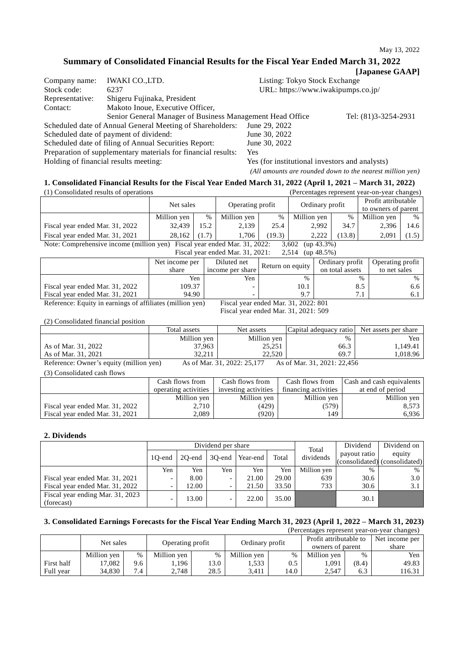# **Summary of Consolidated Financial Results for the Fiscal Year Ended March 31, 2022**

| [Japanese GAAP] |  |
|-----------------|--|
|-----------------|--|

| Company name:   | <b>IWAKI CO., LTD.</b>                                        | Listing: Tokyo Stock Exchange                  |                      |  |  |
|-----------------|---------------------------------------------------------------|------------------------------------------------|----------------------|--|--|
| Stock code:     | 6237                                                          | URL: https://www.iwakipumps.co.jp/             |                      |  |  |
| Representative: | Shigeru Fujinaka, President                                   |                                                |                      |  |  |
| Contact:        | Makoto Inoue, Executive Officer,                              |                                                |                      |  |  |
|                 | Senior General Manager of Business Management Head Office     |                                                | Tel: (81)3-3254-2931 |  |  |
|                 | Scheduled date of Annual General Meeting of Shareholders:     | June 29, 2022                                  |                      |  |  |
|                 | Scheduled date of payment of dividend:                        | June 30, 2022                                  |                      |  |  |
|                 | Scheduled date of filing of Annual Securities Report:         | June 30, 2022                                  |                      |  |  |
|                 | Preparation of supplementary materials for financial results: | <b>Yes</b>                                     |                      |  |  |
|                 | Holding of financial results meeting:                         | Yes (for institutional investors and analysts) |                      |  |  |
|                 |                                                               |                                                |                      |  |  |

#### *(All amounts are rounded down to the nearest million yen)*

# **1. Consolidated Financial Results for the Fiscal Year Ended March 31, 2022 (April 1, 2021 – March 31, 2022)**

| (1) Consolidated results of operations                                                                         |                               |      |             |      |                     |      | (Percentages represent year-on-year changes) |      |
|----------------------------------------------------------------------------------------------------------------|-------------------------------|------|-------------|------|---------------------|------|----------------------------------------------|------|
|                                                                                                                | Operating profit<br>Net sales |      |             |      | Ordinary profit     |      | Profit attributable                          |      |
|                                                                                                                |                               |      |             |      | to owners of parent |      |                                              |      |
|                                                                                                                | Million yen                   | %    | Million yen | $\%$ | Million yen         | $\%$ | Million yen                                  | $\%$ |
| Fiscal year ended Mar. 31, 2022                                                                                | 32.439                        | 15.2 | 2.139       | 25.4 | 2.992               | 34.7 | 2,396                                        | 14.6 |
| Fiscal year ended Mar. 31, 2021<br>(13.8)<br>(19.3)<br>(1.7)<br>1.706<br>2.222<br>2,091<br>$28.162$  <br>(1.5) |                               |      |             |      |                     |      |                                              |      |
| Note: Comprehensive income (million yen) Fiscal year ended Mar. 31, 2022:<br>$(up 43.3\%)$<br>3.602            |                               |      |             |      |                     |      |                                              |      |

Fiscal year ended Mar. 31, 2021: 2,514 (up 48.5%)

| $1.19$ car year endeur 1910ai, 2021,<br>-----<br>$140 - 1010 / 07$ |                      |                  |                        |                 |                  |  |  |  |
|--------------------------------------------------------------------|----------------------|------------------|------------------------|-----------------|------------------|--|--|--|
|                                                                    | Net income per       | Diluted net      | Return on equity       | Ordinary profit | Operating profit |  |  |  |
|                                                                    | share                | income per share |                        | on total assets | to net sales     |  |  |  |
|                                                                    | Yen                  | Yen              | $\frac{0}{6}$          |                 | $\%$             |  |  |  |
| Fiscal year ended Mar. 31, 2022                                    | 109.37               |                  | 10.1                   | 8.5             | 6.6              |  |  |  |
| Fiscal year ended Mar. 31, 2021                                    | 94.90                |                  | Q 7                    |                 |                  |  |  |  |
| --------<br>$ -$                                                   | $\sim$ $\sim$ $\sim$ | $- \cdot$        | - - - -<br>----------- |                 |                  |  |  |  |

Reference: Equity in earnings of affiliates (million yen) Fiscal year ended Mar. 31, 2022: 801

Fiscal year ended Mar. 31, 2021: 509

(2) Consolidated financial position

|                                         | Total assets | Net assets                  | Capital adequacy ratio      | Net assets per share |
|-----------------------------------------|--------------|-----------------------------|-----------------------------|----------------------|
|                                         | Million yen  | Million yen                 | $\%$                        | Yen                  |
| As of Mar. 31, 2022                     | 37,963       | 25,251                      | 66.3                        | 1,149.41             |
| As of Mar. 31, 2021                     | 32.211       | 22,520                      | 69.7                        | 1.018.96             |
| Reference: Owner's equity (million yen) |              | As of Mar. 31, 2022: 25,177 | As of Mar. 31, 2021: 22,456 |                      |

(3) Consolidated cash flows

|                                 | Cash flows from      | Cash flows from      | Cash flows from      | Cash and cash equivalents |
|---------------------------------|----------------------|----------------------|----------------------|---------------------------|
|                                 | operating activities | investing activities | financing activities | at end of period          |
|                                 | Million yen          | Million yen          | Million yen          | Million yen               |
| Fiscal year ended Mar. 31, 2022 | 2,710                | (429)                | (579)                | 8.573                     |
| Fiscal year ended Mar. 31, 2021 | 2,089                | (920)                | 149                  | 6.936                     |

#### **2. Dividends**

|                                  |                          | Dividend per share |        |          |       |                    | Dividend     | Dividend on                   |
|----------------------------------|--------------------------|--------------------|--------|----------|-------|--------------------|--------------|-------------------------------|
|                                  |                          | 20-end             | 30-end | Year-end | Total | Total<br>dividends | payout ratio | equity                        |
|                                  | 10-end                   |                    |        |          |       |                    |              | (consolidated) (consolidated) |
|                                  | Yen                      | Yen                | Yen    | Yen      | Yen   | Million yen        | $\%$         | $\%$                          |
| Fiscal year ended Mar. 31, 2021  | $\overline{\phantom{0}}$ | 8.00               | -      | 21.00    | 29.00 | 639                | 30.6         | 3.0                           |
| Fiscal year ended Mar. 31, 2022  |                          | 12.00              |        | 21.50    | 33.50 | 733                | 30.6         |                               |
| Fiscal year ending Mar. 31, 2023 |                          | 13.00              |        | 22.00    | 35.00 |                    |              |                               |
| (forecast)                       |                          |                    | -      |          |       |                    | 30.1         |                               |

# **3. Consolidated Earnings Forecasts for the Fiscal Year Ending March 31, 2023 (April 1, 2022 – March 31, 2023)**

|            |             |      |                  |      |                 |               |                        |       | (Percentages represent year-on-year changes) |
|------------|-------------|------|------------------|------|-----------------|---------------|------------------------|-------|----------------------------------------------|
| Net sales  |             |      | Operating profit |      |                 |               | Profit attributable to |       | Net income per                               |
|            |             |      |                  |      | Ordinary profit |               | owners of parent       |       | share                                        |
|            | Million yen | $\%$ | Million yen      | $\%$ | Million yen     | %             | Million yen            | $\%$  | Yen                                          |
| First half | 17.082      | 9.6  | . . 196          | 13.0 | 1,533           | $0.5^{\circ}$ | 1,091                  | (8.4) | 49.83                                        |
| Full year  | 34.830      | 7.4  | 2,748            | 28.5 | 3.411           | 14.0          | 2,547                  | 6.3   | 116.31                                       |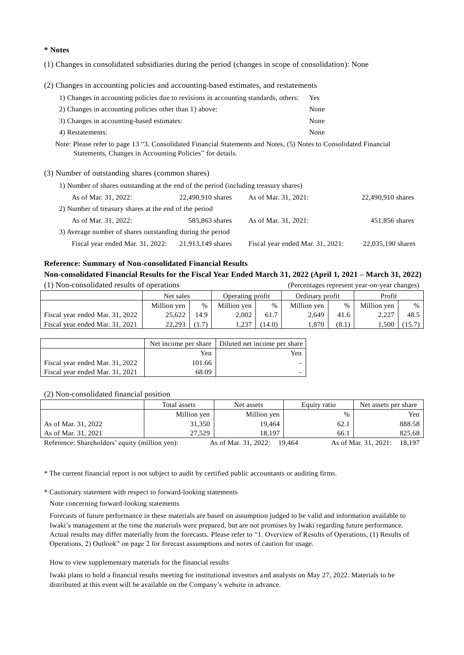**\* Notes**

(1) Changes in consolidated subsidiaries during the period (changes in scope of consolidation): None

(2) Changes in accounting policies and accounting-based estimates, and restatements

| 1) Changes in accounting policies due to revisions in accounting standards, others: | Yes  |
|-------------------------------------------------------------------------------------|------|
| 2) Changes in accounting policies other than 1) above:                              | None |
| 3) Changes in accounting-based estimates:                                           | None |
| 4) Restatements:                                                                    | None |

Note: Please refer to page 13 "3. Consolidated Financial Statements and Notes, (5) Notes to Consolidated Financial Statements, Changes in Accounting Policies" for details.

#### (3) Number of outstanding shares (common shares)

| 1) Number of shares outstanding at the end of the period (including treasury shares) |                   |                                  |                   |  |  |  |  |  |
|--------------------------------------------------------------------------------------|-------------------|----------------------------------|-------------------|--|--|--|--|--|
| As of Mar. 31, 2022:                                                                 | 22,490,910 shares | As of Mar. 31, 2021:             | 22,490,910 shares |  |  |  |  |  |
| 2) Number of treasury shares at the end of the period                                |                   |                                  |                   |  |  |  |  |  |
| As of Mar. 31, 2022:                                                                 | 585,863 shares    | As of Mar. 31, 2021:             | 451,856 shares    |  |  |  |  |  |
| 3) Average number of shares outstanding during the period                            |                   |                                  |                   |  |  |  |  |  |
| Fiscal year ended Mar. 31, 2022:                                                     | 21,913,149 shares | Fiscal year ended Mar. 31, 2021: | 22,035,190 shares |  |  |  |  |  |

## **Reference: Summary of Non-consolidated Financial Results**

### **Non-consolidated Financial Results for the Fiscal Year Ended March 31, 2022 (April 1, 2021 – March 31, 2022)**

| (1) Non-consolidated results of operations |             |       | (Percentages represent year-on-year changes) |        |                 |       |             |        |
|--------------------------------------------|-------------|-------|----------------------------------------------|--------|-----------------|-------|-------------|--------|
|                                            | Net sales   |       | Operating profit                             |        | Ordinary profit |       | Profit      |        |
|                                            | Million yen | $\%$  | Million yen                                  | $\%$   | Million yen     | $\%$  | Million yen | $\%$   |
| Fiscal year ended Mar. 31, 2022            | 25.622      | 14.9  | 2,002                                        | 61.7   | 2,649           | 41.6  | 2.227       | 48.5   |
| Fiscal year ended Mar. 31, 2021            | 22,293      | (1.7) | 1,237                                        | (14.0) | 1,870           | (8.1) | 1,500       | (15.7) |

|                                 |        | Net income per share Diluted net income per share |
|---------------------------------|--------|---------------------------------------------------|
|                                 | Yen    | Yen                                               |
| Fiscal year ended Mar. 31, 2022 | 101.66 |                                                   |
| Fiscal year ended Mar. 31, 2021 | 68.09  |                                                   |

(2) Non-consolidated financial position

|                                                | Total assets | Net assets           | Equity ratio | Net assets per share           |
|------------------------------------------------|--------------|----------------------|--------------|--------------------------------|
|                                                | Million yen  | Million yen          | %            | Yen                            |
| As of Mar. 31, 2022                            | 31.350       | 19.464               | 62.1         | 888.58                         |
| As of Mar. 31, 2021                            | 27.529       | 18.197               | 66.1         | 825.68                         |
| Reference: Shareholders' equity (million yen): |              | As of Mar. 31, 2022: | 19.464       | As of Mar. 31, 2021:<br>18.197 |

\* The current financial report is not subject to audit by certified public accountants or auditing firms.

\* Cautionary statement with respect to forward-looking statements

Note concerning forward-looking statements

Forecasts of future performance in these materials are based on assumption judged to be valid and information available to Iwaki's management at the time the materials were prepared, but are not promises by Iwaki regarding future performance. Actual results may differ materially from the forecasts. Please refer to "1. Overview of Results of Operations, (1) Results of Operations, 2) Outlook" on page 2 for forecast assumptions and notes of caution for usage.

How to view supplementary materials for the financial results

Iwaki plans to hold a financial results meeting for institutional investors and analysts on May 27, 2022. Materials to be distributed at this event will be available on the Company's website in advance.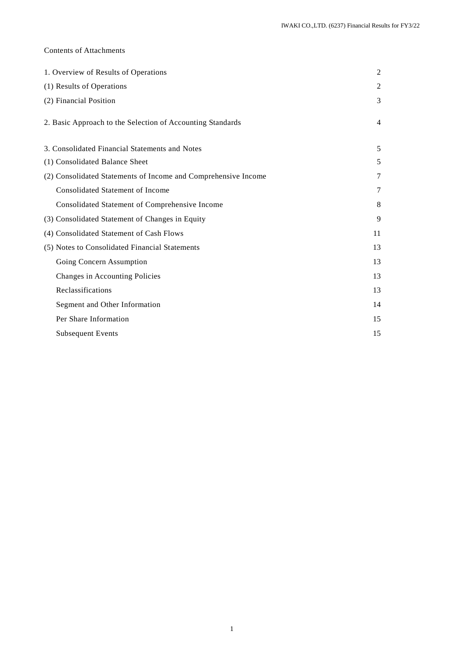## Contents of Attachments

| 1. Overview of Results of Operations                           | 2              |
|----------------------------------------------------------------|----------------|
| (1) Results of Operations                                      | 2              |
| (2) Financial Position                                         | 3              |
| 2. Basic Approach to the Selection of Accounting Standards     | $\overline{4}$ |
| 3. Consolidated Financial Statements and Notes                 | 5              |
| (1) Consolidated Balance Sheet                                 | 5              |
| (2) Consolidated Statements of Income and Comprehensive Income | 7              |
| <b>Consolidated Statement of Income</b>                        | 7              |
| Consolidated Statement of Comprehensive Income                 | 8              |
| (3) Consolidated Statement of Changes in Equity                | 9              |
| (4) Consolidated Statement of Cash Flows                       | 11             |
| (5) Notes to Consolidated Financial Statements                 | 13             |
| Going Concern Assumption                                       | 13             |
| Changes in Accounting Policies                                 | 13             |
| Reclassifications                                              | 13             |
| Segment and Other Information                                  | 14             |
| Per Share Information                                          | 15             |
| <b>Subsequent Events</b>                                       | 15             |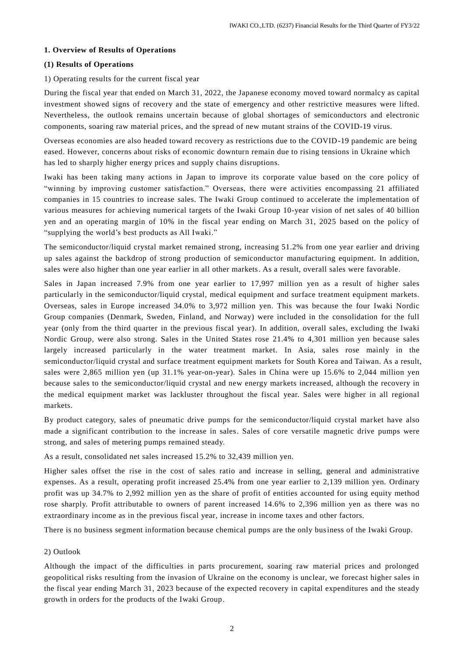#### **1. Overview of Results of Operations**

#### **(1) Results of Operations**

#### 1) Operating results for the current fiscal year

During the fiscal year that ended on March 31, 2022, the Japanese economy moved toward normalcy as capital investment showed signs of recovery and the state of emergency and other restrictive measures were lifted. Nevertheless, the outlook remains uncertain because of global shortages of semiconductors and electronic components, soaring raw material prices, and the spread of new mutant strains of the COVID-19 virus.

Overseas economies are also headed toward recovery as restrictions due to the COVID-19 pandemic are being eased. However, concerns about risks of economic downturn remain due to rising tensions in Ukraine which has led to sharply higher energy prices and supply chains disruptions.

Iwaki has been taking many actions in Japan to improve its corporate value based on the core policy of "winning by improving customer satisfaction." Overseas, there were activities encompassing 21 affiliated companies in 15 countries to increase sales. The Iwaki Group continued to accelerate the implementation of various measures for achieving numerical targets of the Iwaki Group 10-year vision of net sales of 40 billion yen and an operating margin of 10% in the fiscal year ending on March 31, 2025 based on the policy of "supplying the world's best products as All Iwaki."

The semiconductor/liquid crystal market remained strong, increasing 51.2% from one year earlier and driving up sales against the backdrop of strong production of semiconductor manufacturing equipment. In addition, sales were also higher than one year earlier in all other markets. As a result, overall sales were favorable.

Sales in Japan increased 7.9% from one year earlier to 17,997 million yen as a result of higher sales particularly in the semiconductor/liquid crystal, medical equipment and surface treatment equipment markets. Overseas, sales in Europe increased 34.0% to 3,972 million yen. This was because the four Iwaki Nordic Group companies (Denmark, Sweden, Finland, and Norway) were included in the consolidation for the full year (only from the third quarter in the previous fiscal year). In addition, overall sales, excluding the Iwaki Nordic Group, were also strong. Sales in the United States rose 21.4% to 4,301 million yen because sales largely increased particularly in the water treatment market. In Asia, sales rose mainly in the semiconductor/liquid crystal and surface treatment equipment markets for South Korea and Taiwan. As a result, sales were 2,865 million yen (up 31.1% year-on-year). Sales in China were up 15.6% to 2,044 million yen because sales to the semiconductor/liquid crystal and new energy markets increased, although the recovery in the medical equipment market was lackluster throughout the fiscal year. Sales were higher in all regional markets.

By product category, sales of pneumatic drive pumps for the semiconductor/liquid crystal market have also made a significant contribution to the increase in sales. Sales of core versatile magnetic drive pumps were strong, and sales of metering pumps remained steady.

As a result, consolidated net sales increased 15.2% to 32,439 million yen.

Higher sales offset the rise in the cost of sales ratio and increase in selling, general and administrative expenses. As a result, operating profit increased 25.4% from one year earlier to 2,139 million yen. Ordinary profit was up 34.7% to 2,992 million yen as the share of profit of entities accounted for using equity method rose sharply. Profit attributable to owners of parent increased 14.6% to 2,396 million yen as there was no extraordinary income as in the previous fiscal year, increase in income taxes and other factors.

There is no business segment information because chemical pumps are the only business of the Iwaki Group.

#### 2) Outlook

Although the impact of the difficulties in parts procurement, soaring raw material prices and prolonged geopolitical risks resulting from the invasion of Ukraine on the economy is unclear, we forecast higher sales in the fiscal year ending March 31, 2023 because of the expected recovery in capital expenditures and the steady growth in orders for the products of the Iwaki Group.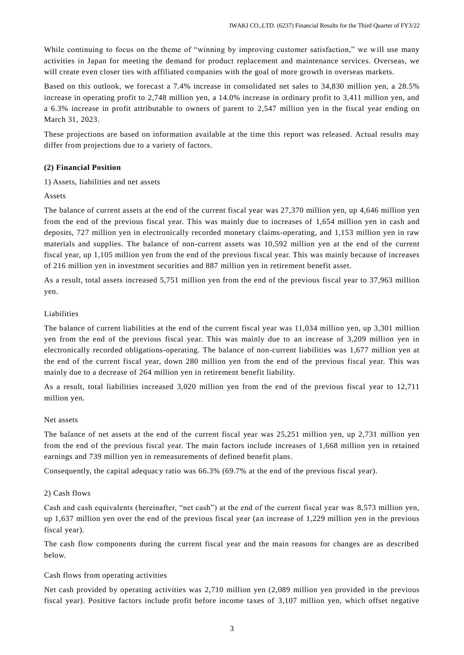While continuing to focus on the theme of "winning by improving customer satisfaction," we will use many activities in Japan for meeting the demand for product replacement and maintenance services. Overseas, we will create even closer ties with affiliated companies with the goal of more growth in overseas markets.

Based on this outlook, we forecast a 7.4% increase in consolidated net sales to 34,830 million yen, a 28.5% increase in operating profit to 2,748 million yen, a 14.0% increase in ordinary profit to 3,411 million yen, and a 6.3% increase in profit attributable to owners of parent to 2,547 million yen in the fiscal year ending on March 31, 2023.

These projections are based on information available at the time this report was released. Actual results may differ from projections due to a variety of factors.

#### **(2) Financial Position**

1) Assets, liabilities and net assets

#### Assets

The balance of current assets at the end of the current fiscal year was 27,370 million yen, up 4,646 million yen from the end of the previous fiscal year. This was mainly due to increases of 1,654 million yen in cash and deposits, 727 million yen in electronically recorded monetary claims-operating, and 1,153 million yen in raw materials and supplies. The balance of non-current assets was 10,592 million yen at the end of the current fiscal year, up 1,105 million yen from the end of the previous fiscal year. This was mainly because of increases of 216 million yen in investment securities and 887 million yen in retirement benefit asset.

As a result, total assets increased 5,751 million yen from the end of the previous fiscal year to 37,963 million yen.

#### Liabilities

The balance of current liabilities at the end of the current fiscal year was 11,034 million yen, up 3,301 million yen from the end of the previous fiscal year. This was mainly due to an increase of 3,209 million yen in electronically recorded obligations-operating. The balance of non-current liabilities was 1,677 million yen at the end of the current fiscal year, down 280 million yen from the end of the previous fiscal year. This was mainly due to a decrease of 264 million yen in retirement benefit liability.

As a result, total liabilities increased 3,020 million yen from the end of the previous fiscal year to 12,711 million yen.

#### Net assets

The balance of net assets at the end of the current fiscal year was 25,251 million yen, up 2,731 million yen from the end of the previous fiscal year. The main factors include increases of 1,668 million yen in retained earnings and 739 million yen in remeasurements of defined benefit plans.

Consequently, the capital adequacy ratio was 66.3% (69.7% at the end of the previous fiscal year).

#### 2) Cash flows

Cash and cash equivalents (hereinafter, "net cash") at the end of the current fiscal year was 8,573 million yen, up 1,637 million yen over the end of the previous fiscal year (an increase of 1,229 million yen in the previous fiscal year).

The cash flow components during the current fiscal year and the main reasons for changes are as described below.

#### Cash flows from operating activities

Net cash provided by operating activities was 2,710 million yen (2,089 million yen provided in the previous fiscal year). Positive factors include profit before income taxes of 3,107 million yen, which offset negative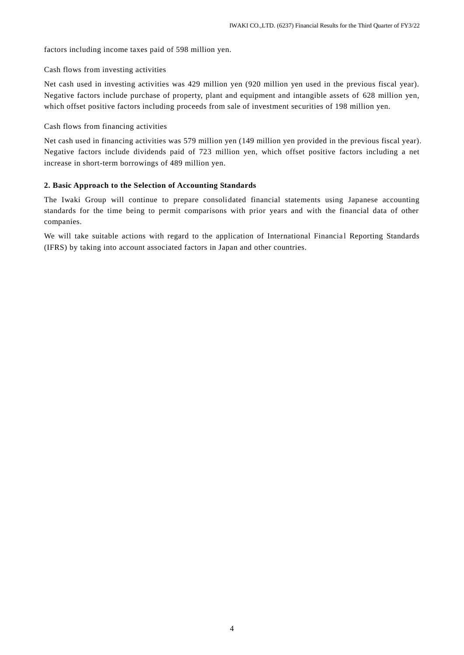factors including income taxes paid of 598 million yen.

## Cash flows from investing activities

Net cash used in investing activities was 429 million yen (920 million yen used in the previous fiscal year). Negative factors include purchase of property, plant and equipment and intangible assets of 628 million yen, which offset positive factors including proceeds from sale of investment securities of 198 million yen.

## Cash flows from financing activities

Net cash used in financing activities was 579 million yen (149 million yen provided in the previous fiscal year). Negative factors include dividends paid of 723 million yen, which offset positive factors including a net increase in short-term borrowings of 489 million yen.

## **2. Basic Approach to the Selection of Accounting Standards**

The Iwaki Group will continue to prepare consolidated financial statements using Japanese accounting standards for the time being to permit comparisons with prior years and with the financial data of other companies.

We will take suitable actions with regard to the application of International Financial Reporting Standards (IFRS) by taking into account associated factors in Japan and other countries.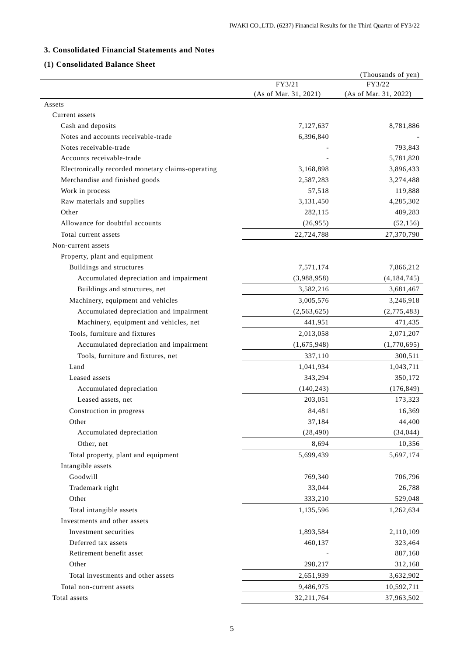# **3. Consolidated Financial Statements and Notes**

# **(1) Consolidated Balance Sheet**

|                                                   |                       | (Thousands of yen)    |
|---------------------------------------------------|-----------------------|-----------------------|
|                                                   | FY3/21                | FY3/22                |
|                                                   | (As of Mar. 31, 2021) | (As of Mar. 31, 2022) |
| Assets                                            |                       |                       |
| Current assets                                    |                       |                       |
| Cash and deposits                                 | 7,127,637             | 8,781,886             |
| Notes and accounts receivable-trade               | 6,396,840             |                       |
| Notes receivable-trade                            |                       | 793,843               |
| Accounts receivable-trade                         |                       | 5,781,820             |
| Electronically recorded monetary claims-operating | 3,168,898             | 3,896,433             |
| Merchandise and finished goods                    | 2,587,283             | 3,274,488             |
| Work in process                                   | 57,518                | 119,888               |
| Raw materials and supplies                        | 3,131,450             | 4,285,302             |
| Other                                             | 282,115               | 489,283               |
| Allowance for doubtful accounts                   | (26,955)              | (52, 156)             |
| Total current assets                              | 22,724,788            | 27,370,790            |
| Non-current assets                                |                       |                       |
| Property, plant and equipment                     |                       |                       |
| Buildings and structures                          | 7,571,174             | 7,866,212             |
| Accumulated depreciation and impairment           | (3,988,958)           | (4,184,745)           |
| Buildings and structures, net                     | 3,582,216             | 3,681,467             |
| Machinery, equipment and vehicles                 | 3,005,576             | 3,246,918             |
| Accumulated depreciation and impairment           | (2, 563, 625)         | (2,775,483)           |
| Machinery, equipment and vehicles, net            | 441,951               | 471,435               |
| Tools, furniture and fixtures                     | 2,013,058             | 2,071,207             |
| Accumulated depreciation and impairment           | (1,675,948)           | (1,770,695)           |
| Tools, furniture and fixtures, net                | 337,110               | 300,511               |
| Land                                              | 1,041,934             | 1,043,711             |
| Leased assets                                     | 343,294               | 350,172               |
| Accumulated depreciation                          | (140, 243)            | (176, 849)            |
| Leased assets, net                                | 203,051               | 173,323               |
| Construction in progress                          | 84,481                | 16,369                |
| Other                                             | 37,184                | 44,400                |
| Accumulated depreciation                          | (28, 490)             | (34, 044)             |
| Other, net                                        |                       |                       |
|                                                   | 8,694                 | 10,356                |
| Total property, plant and equipment               | 5,699,439             | 5,697,174             |
| Intangible assets                                 |                       |                       |
| Goodwill                                          | 769,340               | 706,796               |
| Trademark right                                   | 33,044                | 26,788                |
| Other                                             | 333,210               | 529,048               |
| Total intangible assets                           | 1,135,596             | 1,262,634             |
| Investments and other assets                      |                       |                       |
| Investment securities                             | 1,893,584             | 2,110,109             |
| Deferred tax assets                               | 460,137               | 323,464               |
| Retirement benefit asset                          |                       | 887,160               |
| Other                                             | 298,217               | 312,168               |
| Total investments and other assets                | 2,651,939             | 3,632,902             |
| Total non-current assets                          | 9,486,975             | 10,592,711            |
| Total assets                                      | 32,211,764            | 37,963,502            |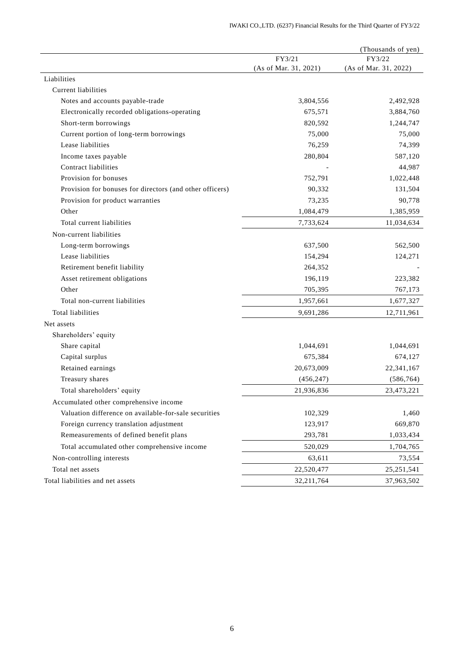|                                                          |                       | (Thousands of yen)    |
|----------------------------------------------------------|-----------------------|-----------------------|
|                                                          | FY3/21                | FY3/22                |
|                                                          | (As of Mar. 31, 2021) | (As of Mar. 31, 2022) |
| Liabilities                                              |                       |                       |
| Current liabilities                                      |                       |                       |
| Notes and accounts payable-trade                         | 3,804,556             | 2,492,928             |
| Electronically recorded obligations-operating            | 675,571               | 3,884,760             |
| Short-term borrowings                                    | 820,592               | 1,244,747             |
| Current portion of long-term borrowings                  | 75,000                | 75,000                |
| Lease liabilities                                        | 76,259                | 74,399                |
| Income taxes payable                                     | 280,804               | 587,120               |
| Contract liabilities                                     |                       | 44,987                |
| Provision for bonuses                                    | 752,791               | 1,022,448             |
| Provision for bonuses for directors (and other officers) | 90,332                | 131,504               |
| Provision for product warranties                         | 73,235                | 90,778                |
| Other                                                    | 1,084,479             | 1,385,959             |
| Total current liabilities                                | 7,733,624             | 11,034,634            |
| Non-current liabilities                                  |                       |                       |
| Long-term borrowings                                     | 637,500               | 562,500               |
| Lease liabilities                                        | 154,294               | 124,271               |
| Retirement benefit liability                             | 264,352               |                       |
| Asset retirement obligations                             | 196,119               | 223,382               |
| Other                                                    | 705,395               | 767,173               |
| Total non-current liabilities                            | 1,957,661             | 1,677,327             |
| Total liabilities                                        | 9,691,286             | 12,711,961            |
| Net assets                                               |                       |                       |
| Shareholders' equity                                     |                       |                       |
| Share capital                                            | 1,044,691             | 1,044,691             |
| Capital surplus                                          | 675,384               | 674,127               |
| Retained earnings                                        | 20,673,009            | 22,341,167            |
| Treasury shares                                          | (456, 247)            | (586, 764)            |
| Total shareholders' equity                               | 21,936,836            | 23,473,221            |
| Accumulated other comprehensive income                   |                       |                       |
| Valuation difference on available-for-sale securities    | 102,329               | 1,460                 |
| Foreign currency translation adjustment                  | 123,917               | 669,870               |
| Remeasurements of defined benefit plans                  | 293,781               | 1,033,434             |
| Total accumulated other comprehensive income             | 520,029               | 1,704,765             |
| Non-controlling interests                                | 63,611                | 73,554                |
| Total net assets                                         | 22,520,477            | 25, 251, 541          |
| Total liabilities and net assets                         | 32, 211, 764          | 37,963,502            |
|                                                          |                       |                       |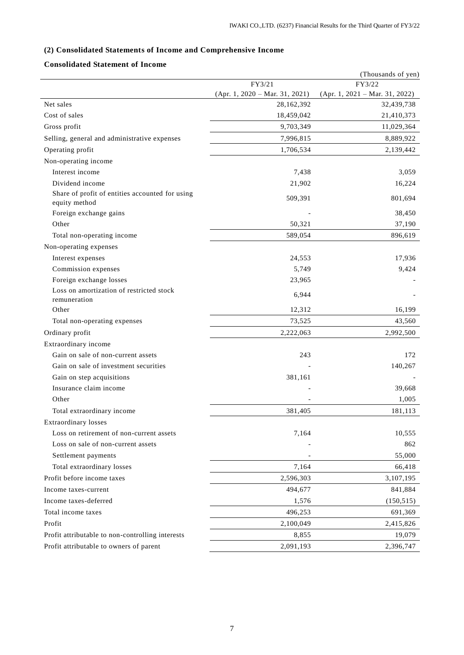# **(2) Consolidated Statements of Income and Comprehensive Income**

# **Consolidated Statement of Income**

|                                                                  |                                  | (Thousands of yen)               |
|------------------------------------------------------------------|----------------------------------|----------------------------------|
|                                                                  | FY3/21                           | FY3/22                           |
|                                                                  | $(Apr. 1, 2020 - Mar. 31, 2021)$ | $(Apr. 1, 2021 - Mar. 31, 2022)$ |
| Net sales                                                        | 28,162,392                       | 32,439,738                       |
| Cost of sales                                                    | 18,459,042                       | 21,410,373                       |
| Gross profit                                                     | 9,703,349                        | 11,029,364                       |
| Selling, general and administrative expenses                     | 7,996,815                        | 8,889,922                        |
| Operating profit                                                 | 1,706,534                        | 2,139,442                        |
| Non-operating income                                             |                                  |                                  |
| Interest income                                                  | 7,438                            | 3,059                            |
| Dividend income                                                  | 21,902                           | 16,224                           |
| Share of profit of entities accounted for using<br>equity method | 509,391                          | 801,694                          |
| Foreign exchange gains                                           |                                  | 38,450                           |
| Other                                                            | 50,321                           | 37,190                           |
| Total non-operating income                                       | 589,054                          | 896,619                          |
| Non-operating expenses                                           |                                  |                                  |
| Interest expenses                                                | 24,553                           | 17,936                           |
| Commission expenses                                              | 5,749                            | 9,424                            |
| Foreign exchange losses                                          | 23,965                           |                                  |
| Loss on amortization of restricted stock<br>remuneration         | 6,944                            |                                  |
| Other                                                            | 12,312                           | 16,199                           |
| Total non-operating expenses                                     | 73,525                           | 43,560                           |
| Ordinary profit                                                  | 2,222,063                        | 2,992,500                        |
| Extraordinary income                                             |                                  |                                  |
| Gain on sale of non-current assets                               | 243                              | 172                              |
| Gain on sale of investment securities                            |                                  | 140,267                          |
| Gain on step acquisitions                                        | 381,161                          |                                  |
| Insurance claim income                                           |                                  | 39,668                           |
| Other                                                            |                                  | 1,005                            |
| Total extraordinary income                                       | 381,405                          | 181,113                          |
| <b>Extraordinary losses</b>                                      |                                  |                                  |
| Loss on retirement of non-current assets                         | 7,164                            | 10.555                           |
| Loss on sale of non-current assets                               |                                  | 862                              |
| Settlement payments                                              |                                  | 55,000                           |
| Total extraordinary losses                                       | 7,164                            | 66,418                           |
| Profit before income taxes                                       | 2,596,303                        | 3,107,195                        |
| Income taxes-current                                             | 494,677                          | 841,884                          |
| Income taxes-deferred                                            | 1,576                            | (150, 515)                       |
| Total income taxes                                               | 496,253                          | 691,369                          |
| Profit                                                           | 2,100,049                        | 2,415,826                        |
| Profit attributable to non-controlling interests                 | 8,855                            | 19,079                           |
| Profit attributable to owners of parent                          | 2,091,193                        | 2,396,747                        |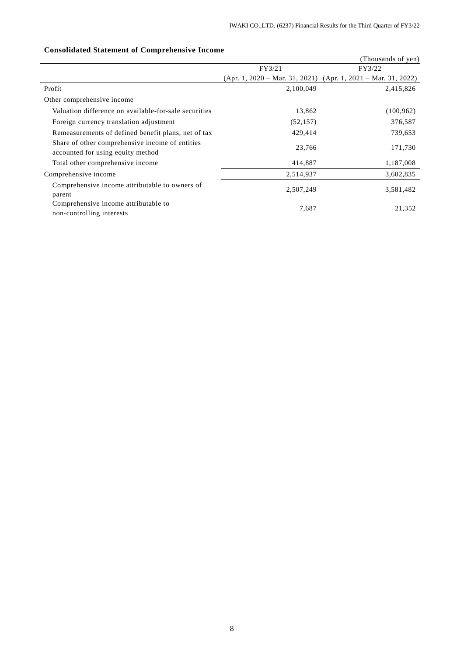| Consonuated Statement of Comprenensive Income                                        |           |                                                                   |
|--------------------------------------------------------------------------------------|-----------|-------------------------------------------------------------------|
|                                                                                      |           | (Thousands of yen)                                                |
|                                                                                      | FY3/21    | FY3/22                                                            |
|                                                                                      |           | $(Apr. 1, 2020 - Mar. 31, 2021)$ $(Apr. 1, 2021 - Mar. 31, 2022)$ |
| Profit                                                                               | 2,100,049 | 2,415,826                                                         |
| Other comprehensive income                                                           |           |                                                                   |
| Valuation difference on available-for-sale securities                                | 13,862    | (100, 962)                                                        |
| Foreign currency translation adjustment                                              | (52, 157) | 376,587                                                           |
| Remeasurements of defined benefit plans, net of tax                                  | 429,414   | 739,653                                                           |
| Share of other comprehensive income of entities<br>accounted for using equity method | 23,766    | 171,730                                                           |
| Total other comprehensive income                                                     | 414,887   | 1,187,008                                                         |
| Comprehensive income                                                                 | 2,514,937 | 3,602,835                                                         |
| Comprehensive income attributable to owners of<br>parent                             | 2,507,249 | 3,581,482                                                         |
| Comprehensive income attributable to<br>non-controlling interests                    | 7,687     | 21,352                                                            |

# **Consolidated Statement of Comprehensive Income**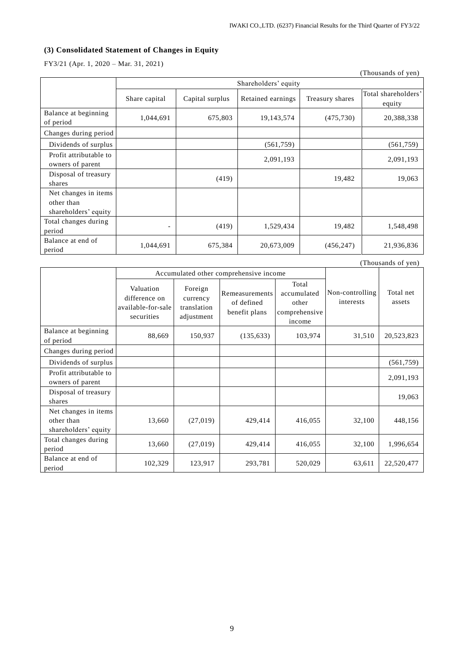# **(3) Consolidated Statement of Changes in Equity**

FY3/21 (Apr. 1, 2020 – Mar. 31, 2021)

|                                                            |                          |                 |                      |                 | (Thousands of yen)            |
|------------------------------------------------------------|--------------------------|-----------------|----------------------|-----------------|-------------------------------|
|                                                            |                          |                 | Shareholders' equity |                 |                               |
|                                                            | Share capital            | Capital surplus | Retained earnings    | Treasury shares | Total shareholders'<br>equity |
| Balance at beginning<br>of period                          | 1,044,691                | 675,803         | 19,143,574           | (475, 730)      | 20,388,338                    |
| Changes during period                                      |                          |                 |                      |                 |                               |
| Dividends of surplus                                       |                          |                 | (561,759)            |                 | (561,759)                     |
| Profit attributable to<br>owners of parent                 |                          |                 | 2,091,193            |                 | 2,091,193                     |
| Disposal of treasury<br>shares                             |                          | (419)           |                      | 19,482          | 19,063                        |
| Net changes in items<br>other than<br>shareholders' equity |                          |                 |                      |                 |                               |
| Total changes during<br>period                             | $\overline{\phantom{a}}$ | (419)           | 1,529,434            | 19,482          | 1,548,498                     |
| Balance at end of<br>period                                | 1,044,691                | 675,384         | 20,673,009           | (456, 247)      | 21,936,836                    |

|                                                            | Accumulated other comprehensive income                         |                                                  |                                               |                                                          |                              |                     |
|------------------------------------------------------------|----------------------------------------------------------------|--------------------------------------------------|-----------------------------------------------|----------------------------------------------------------|------------------------------|---------------------|
|                                                            | Valuation<br>difference on<br>available-for-sale<br>securities | Foreign<br>currency<br>translation<br>adjustment | Remeasurements<br>of defined<br>benefit plans | Total<br>accumulated<br>other<br>comprehensive<br>income | Non-controlling<br>interests | Total net<br>assets |
| Balance at beginning<br>of period                          | 88,669                                                         | 150,937                                          | (135, 633)                                    | 103,974                                                  | 31,510                       | 20,523,823          |
| Changes during period                                      |                                                                |                                                  |                                               |                                                          |                              |                     |
| Dividends of surplus                                       |                                                                |                                                  |                                               |                                                          |                              | (561, 759)          |
| Profit attributable to<br>owners of parent                 |                                                                |                                                  |                                               |                                                          |                              | 2,091,193           |
| Disposal of treasury<br>shares                             |                                                                |                                                  |                                               |                                                          |                              | 19,063              |
| Net changes in items<br>other than<br>shareholders' equity | 13,660                                                         | (27,019)                                         | 429,414                                       | 416,055                                                  | 32,100                       | 448,156             |
| Total changes during<br>period                             | 13,660                                                         | (27,019)                                         | 429,414                                       | 416,055                                                  | 32,100                       | 1,996,654           |
| Balance at end of<br>period                                | 102,329                                                        | 123,917                                          | 293,781                                       | 520,029                                                  | 63,611                       | 22,520,477          |

(Thousands of yen)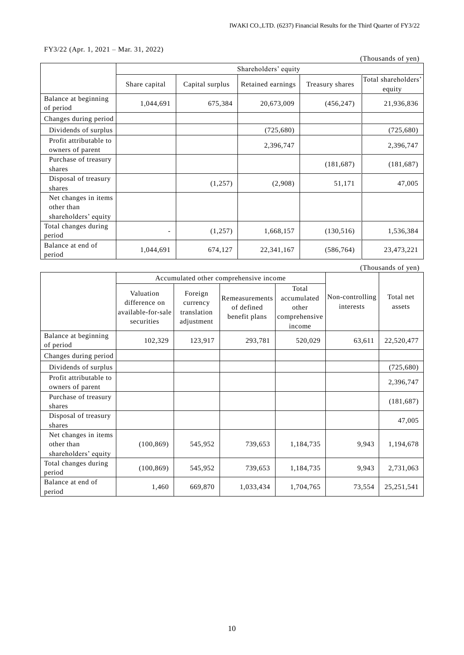## FY3/22 (Apr. 1, 2021 – Mar. 31, 2022)

(Thousands of yen)

|                                                            | Shareholders' equity |                 |                   |                 |                               |
|------------------------------------------------------------|----------------------|-----------------|-------------------|-----------------|-------------------------------|
|                                                            | Share capital        | Capital surplus | Retained earnings | Treasury shares | Total shareholders'<br>equity |
| Balance at beginning<br>of period                          | 1,044,691            | 675,384         | 20,673,009        | (456, 247)      | 21,936,836                    |
| Changes during period                                      |                      |                 |                   |                 |                               |
| Dividends of surplus                                       |                      |                 | (725,680)         |                 | (725, 680)                    |
| Profit attributable to<br>owners of parent                 |                      |                 | 2,396,747         |                 | 2,396,747                     |
| Purchase of treasury<br>shares                             |                      |                 |                   | (181, 687)      | (181, 687)                    |
| Disposal of treasury<br>shares                             |                      | (1,257)         | (2,908)           | 51,171          | 47,005                        |
| Net changes in items<br>other than<br>shareholders' equity |                      |                 |                   |                 |                               |
| Total changes during<br>period                             |                      | (1,257)         | 1,668,157         | (130, 516)      | 1,536,384                     |
| Balance at end of<br>period                                | 1,044,691            | 674,127         | 22,341,167        | (586, 764)      | 23,473,221                    |

| (Thousands of yen)                                         |                                                                |                                                  |                                               |                                                          |                              |                     |
|------------------------------------------------------------|----------------------------------------------------------------|--------------------------------------------------|-----------------------------------------------|----------------------------------------------------------|------------------------------|---------------------|
|                                                            |                                                                |                                                  | Accumulated other comprehensive income        |                                                          |                              |                     |
|                                                            | Valuation<br>difference on<br>available-for-sale<br>securities | Foreign<br>currency<br>translation<br>adjustment | Remeasurements<br>of defined<br>benefit plans | Total<br>accumulated<br>other<br>comprehensive<br>income | Non-controlling<br>interests | Total net<br>assets |
| Balance at beginning<br>of period                          | 102,329                                                        | 123,917                                          | 293,781                                       | 520,029                                                  | 63,611                       | 22,520,477          |
| Changes during period                                      |                                                                |                                                  |                                               |                                                          |                              |                     |
| Dividends of surplus                                       |                                                                |                                                  |                                               |                                                          |                              | (725, 680)          |
| Profit attributable to<br>owners of parent                 |                                                                |                                                  |                                               |                                                          |                              | 2,396,747           |
| Purchase of treasury<br>shares                             |                                                                |                                                  |                                               |                                                          |                              | (181, 687)          |
| Disposal of treasury<br>shares                             |                                                                |                                                  |                                               |                                                          |                              | 47,005              |
| Net changes in items<br>other than<br>shareholders' equity | (100, 869)                                                     | 545,952                                          | 739,653                                       | 1,184,735                                                | 9,943                        | 1,194,678           |
| Total changes during<br>period                             | (100, 869)                                                     | 545,952                                          | 739,653                                       | 1,184,735                                                | 9,943                        | 2,731,063           |
| Balance at end of<br>period                                | 1,460                                                          | 669,870                                          | 1,033,434                                     | 1,704,765                                                | 73,554                       | 25, 251, 541        |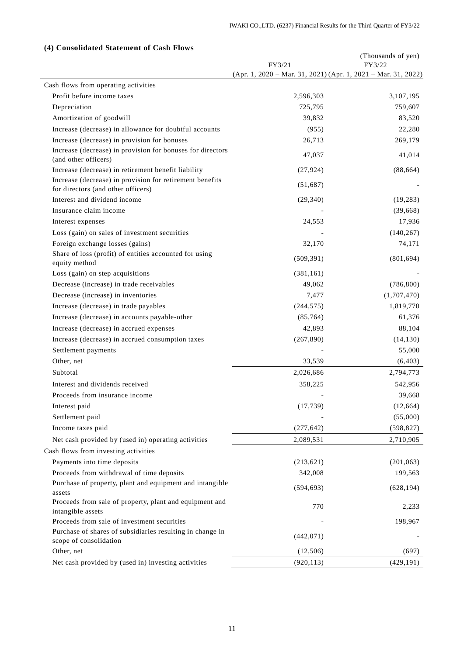|                                                                                                |                                                               | (Thousands of yen) |
|------------------------------------------------------------------------------------------------|---------------------------------------------------------------|--------------------|
|                                                                                                | FY3/21                                                        | FY3/22             |
|                                                                                                | (Apr. 1, 2020 - Mar. 31, 2021) (Apr. 1, 2021 - Mar. 31, 2022) |                    |
| Cash flows from operating activities                                                           |                                                               |                    |
| Profit before income taxes                                                                     | 2,596,303                                                     | 3,107,195          |
| Depreciation                                                                                   | 725,795                                                       | 759,607            |
| Amortization of goodwill                                                                       | 39,832                                                        | 83,520             |
| Increase (decrease) in allowance for doubtful accounts                                         | (955)                                                         | 22,280             |
| Increase (decrease) in provision for bonuses                                                   | 26,713                                                        | 269,179            |
| Increase (decrease) in provision for bonuses for directors<br>(and other officers)             | 47,037                                                        | 41,014             |
| Increase (decrease) in retirement benefit liability                                            | (27, 924)                                                     | (88, 664)          |
| Increase (decrease) in provision for retirement benefits<br>for directors (and other officers) | (51,687)                                                      |                    |
| Interest and dividend income                                                                   | (29, 340)                                                     | (19, 283)          |
| Insurance claim income                                                                         |                                                               | (39, 668)          |
| Interest expenses                                                                              | 24,553                                                        | 17,936             |
| Loss (gain) on sales of investment securities                                                  |                                                               | (140, 267)         |
| Foreign exchange losses (gains)                                                                | 32,170                                                        | 74,171             |
| Share of loss (profit) of entities accounted for using<br>equity method                        | (509, 391)                                                    | (801, 694)         |
| Loss (gain) on step acquisitions                                                               | (381, 161)                                                    |                    |
| Decrease (increase) in trade receivables                                                       | 49,062                                                        | (786, 800)         |
| Decrease (increase) in inventories                                                             | 7,477                                                         | (1,707,470)        |
| Increase (decrease) in trade payables                                                          | (244, 575)                                                    | 1,819,770          |
| Increase (decrease) in accounts payable-other                                                  | (85, 764)                                                     | 61,376             |
| Increase (decrease) in accrued expenses                                                        | 42,893                                                        | 88,104             |
| Increase (decrease) in accrued consumption taxes                                               | (267, 890)                                                    | (14, 130)          |
| Settlement payments                                                                            |                                                               | 55,000             |
| Other, net                                                                                     | 33,539                                                        | (6, 403)           |
| Subtotal                                                                                       | 2,026,686                                                     | 2,794,773          |
| Interest and dividends received                                                                | 358,225                                                       |                    |
| Proceeds from insurance income                                                                 |                                                               | 542,956<br>39,668  |
|                                                                                                |                                                               |                    |
| Interest paid                                                                                  | (17, 739)                                                     | (12, 664)          |
| Settlement paid                                                                                |                                                               | (55,000)           |
| Income taxes paid                                                                              | (277, 642)                                                    | (598, 827)         |
| Net cash provided by (used in) operating activities                                            | 2,089,531                                                     | 2,710,905          |
| Cash flows from investing activities                                                           |                                                               |                    |
| Payments into time deposits                                                                    | (213, 621)                                                    | (201, 063)         |
| Proceeds from withdrawal of time deposits                                                      | 342,008                                                       | 199,563            |
| Purchase of property, plant and equipment and intangible<br>assets                             | (594, 693)                                                    | (628, 194)         |
| Proceeds from sale of property, plant and equipment and<br>intangible assets                   | 770                                                           | 2,233              |
| Proceeds from sale of investment securities                                                    |                                                               | 198,967            |
| Purchase of shares of subsidiaries resulting in change in<br>scope of consolidation            | (442, 071)                                                    |                    |
| Other, net                                                                                     | (12, 506)                                                     | (697)              |
| Net cash provided by (used in) investing activities                                            | (920, 113)                                                    | (429, 191)         |

# **(4) Consolidated Statement of Cash Flows**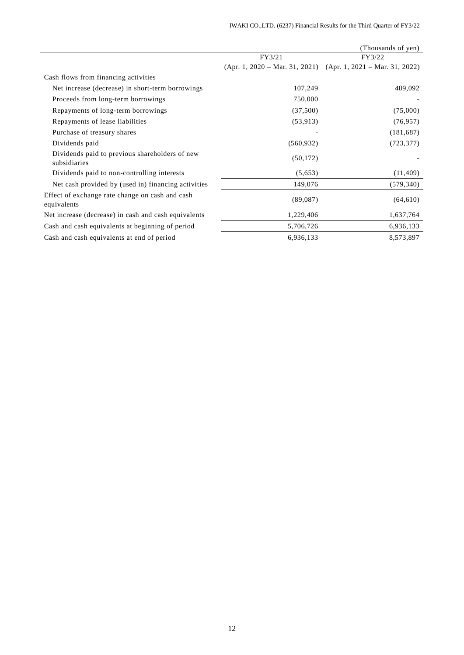|                                                                |                                  | (Thousands of yen)               |
|----------------------------------------------------------------|----------------------------------|----------------------------------|
|                                                                | FY3/21                           | FY3/22                           |
|                                                                | $(Apr. 1, 2020 - Mar. 31, 2021)$ | $(Apr. 1, 2021 - Mar. 31, 2022)$ |
| Cash flows from financing activities                           |                                  |                                  |
| Net increase (decrease) in short-term borrowings               | 107,249                          | 489,092                          |
| Proceeds from long-term borrowings                             | 750,000                          |                                  |
| Repayments of long-term borrowings                             | (37,500)                         | (75,000)                         |
| Repayments of lease liabilities                                | (53, 913)                        | (76, 957)                        |
| Purchase of treasury shares                                    |                                  | (181,687)                        |
| Dividends paid                                                 | (560, 932)                       | (723, 377)                       |
| Dividends paid to previous shareholders of new<br>subsidiaries | (50, 172)                        |                                  |
| Dividends paid to non-controlling interests                    | (5,653)                          | (11, 409)                        |
| Net cash provided by (used in) financing activities            | 149,076                          | (579, 340)                       |
| Effect of exchange rate change on cash and cash<br>equivalents | (89,087)                         | (64, 610)                        |
| Net increase (decrease) in cash and cash equivalents           | 1,229,406                        | 1,637,764                        |
| Cash and cash equivalents at beginning of period               | 5,706,726                        | 6,936,133                        |
| Cash and cash equivalents at end of period                     | 6,936,133                        | 8,573,897                        |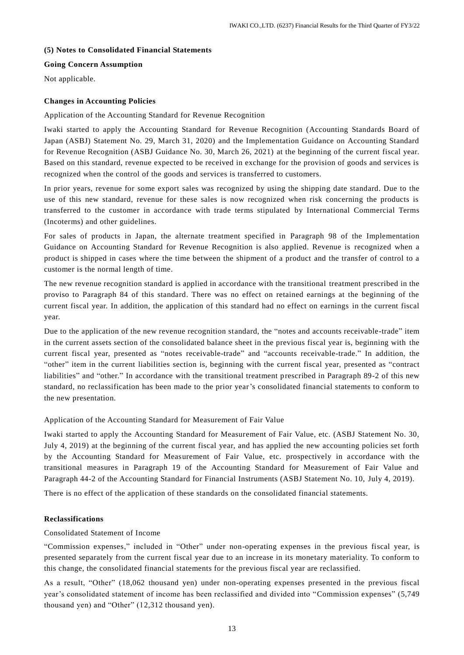#### **(5) Notes to Consolidated Financial Statements**

## **Going Concern Assumption**

Not applicable.

## **Changes in Accounting Policies**

### Application of the Accounting Standard for Revenue Recognition

Iwaki started to apply the Accounting Standard for Revenue Recognition (Accounting Standards Board of Japan (ASBJ) Statement No. 29, March 31, 2020) and the Implementation Guidance on Accounting Standard for Revenue Recognition (ASBJ Guidance No. 30, March 26, 2021) at the beginning of the current fiscal year. Based on this standard, revenue expected to be received in exchange for the provision of goods and services is recognized when the control of the goods and services is transferred to customers.

In prior years, revenue for some export sales was recognized by using the shipping date standard. Due to the use of this new standard, revenue for these sales is now recognized when risk concerning the products is transferred to the customer in accordance with trade terms stipulated by International Commercial Terms (Incoterms) and other guidelines.

For sales of products in Japan, the alternate treatment specified in Paragraph 98 of the Implementation Guidance on Accounting Standard for Revenue Recognition is also applied. Revenue is recognized when a product is shipped in cases where the time between the shipment of a product and the transfer of control to a customer is the normal length of time.

The new revenue recognition standard is applied in accordance with the transitional treatment prescribed in the proviso to Paragraph 84 of this standard. There was no effect on retained earnings at the beginning of the current fiscal year. In addition, the application of this standard had no effect on earnings in the current fiscal year.

Due to the application of the new revenue recognition standard, the "notes and accounts receivable-trade" item in the current assets section of the consolidated balance sheet in the previous fiscal year is, beginning with the current fiscal year, presented as "notes receivable-trade" and "accounts receivable-trade." In addition, the "other" item in the current liabilities section is, beginning with the current fiscal year, presented as "contract liabilities" and "other." In accordance with the transitional treatment prescribed in Paragraph 89-2 of this new standard, no reclassification has been made to the prior year's consolidated financial statements to conform to the new presentation.

## Application of the Accounting Standard for Measurement of Fair Value

Iwaki started to apply the Accounting Standard for Measurement of Fair Value, etc. (ASBJ Statement No. 30, July 4, 2019) at the beginning of the current fiscal year, and has applied the new accounting policies set forth by the Accounting Standard for Measurement of Fair Value, etc. prospectively in accordance with the transitional measures in Paragraph 19 of the Accounting Standard for Measurement of Fair Value and Paragraph 44-2 of the Accounting Standard for Financial Instruments (ASBJ Statement No. 10, July 4, 2019).

There is no effect of the application of these standards on the consolidated financial statements.

#### **Reclassifications**

## Consolidated Statement of Income

"Commission expenses," included in "Other" under non-operating expenses in the previous fiscal year, is presented separately from the current fiscal year due to an increase in its monetary materiality. To conform to this change, the consolidated financial statements for the previous fiscal year are reclassified.

As a result, "Other" (18,062 thousand yen) under non-operating expenses presented in the previous fiscal year's consolidated statement of income has been reclassified and divided into "Commission expenses" (5,749 thousand yen) and "Other" (12,312 thousand yen).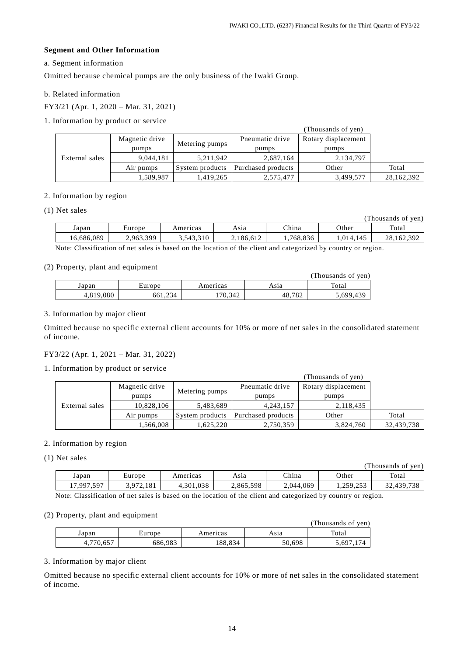#### **Segment and Other Information**

## a. Segment information

Omitted because chemical pumps are the only business of the Iwaki Group.

## b. Related information

FY3/21 (Apr. 1, 2020 – Mar. 31, 2021)

# 1. Information by product or service

| (Thousands of yen) |                |                 |                    |                     |            |
|--------------------|----------------|-----------------|--------------------|---------------------|------------|
| External sales     | Magnetic drive | Metering pumps  | Pneumatic drive    | Rotary displacement |            |
|                    | pumps          |                 | pumps              | pumps               |            |
|                    | 9.044.181      | 5,211,942       | 2,687,164          | 2,134,797           |            |
|                    | Air pumps      | System products | Purchased products | Other               | Total      |
|                    | 1,589,987      | 1,419,265       | 2,575,477          | 3,499,577           | 28,162,392 |

#### 2. Information by region

#### (1) Net sales

|            |           |           |           |          |          | (Thousands of ven) |
|------------|-----------|-----------|-----------|----------|----------|--------------------|
| Japan      | Europe    | Americas  | Asıa      | China    | Other    | Total              |
| 16,686,089 | 2,963,399 | 3,543,310 | 2.186.612 | .768.836 | ,014,145 | 28.162.392         |

Note: Classification of net sales is based on the location of the client and categorized by country or region.

#### (2) Property, plant and equipment

|           |         |          |        | (Thousands of yen) |
|-----------|---------|----------|--------|--------------------|
| Japan     | Europe  | Americas | Asıa   | Total              |
| 4,819,080 | 661,234 | 70,342   | 48,782 | 5,699,439          |

#### 3. Information by major client

Omitted because no specific external client accounts for 10% or more of net sales in the consolidated statement of income.

## FY3/22 (Apr. 1, 2021 – Mar. 31, 2022)

#### 1. Information by product or service

|                |                |                 |                    | (Thousands of yen)  |            |
|----------------|----------------|-----------------|--------------------|---------------------|------------|
|                | Magnetic drive | Metering pumps  | Pneumatic drive    | Rotary displacement |            |
|                | pumps          |                 | pumps              | pumps               |            |
| External sales | 10,828,106     | 5,483,689       | 4, 243, 157        | 2,118,435           |            |
|                | Air pumps      | System products | Purchased products | Other               | Total      |
|                | .566,008       | .625,220        | 2,750,359          | 3,824,760           | 32,439,738 |

## 2. Information by region

(1) Net sales

|            |                  |           |           |           |           | (Thousands of yen) |
|------------|------------------|-----------|-----------|-----------|-----------|--------------------|
| Japan      | Europe           | Americas  | Asia      | China     | Other     | Total              |
| 17,997,597 | 3.972.<br>72.181 | 4,301,038 | 2,865,598 | 2.044.069 | 1,259,253 | 32,439,738         |

Note: Classification of net sales is based on the location of the client and categorized by country or region.

#### (2) Property, plant and equipment

|          |         |          |        | (Thousands of yen) |
|----------|---------|----------|--------|--------------------|
| Japan    | Europe  | Americas | Asıa   | Total              |
| .770.657 | 686,983 | 88.834   | 50,698 | .697.              |

#### 3. Information by major client

Omitted because no specific external client accounts for 10% or more of net sales in the consolidated statement of income.